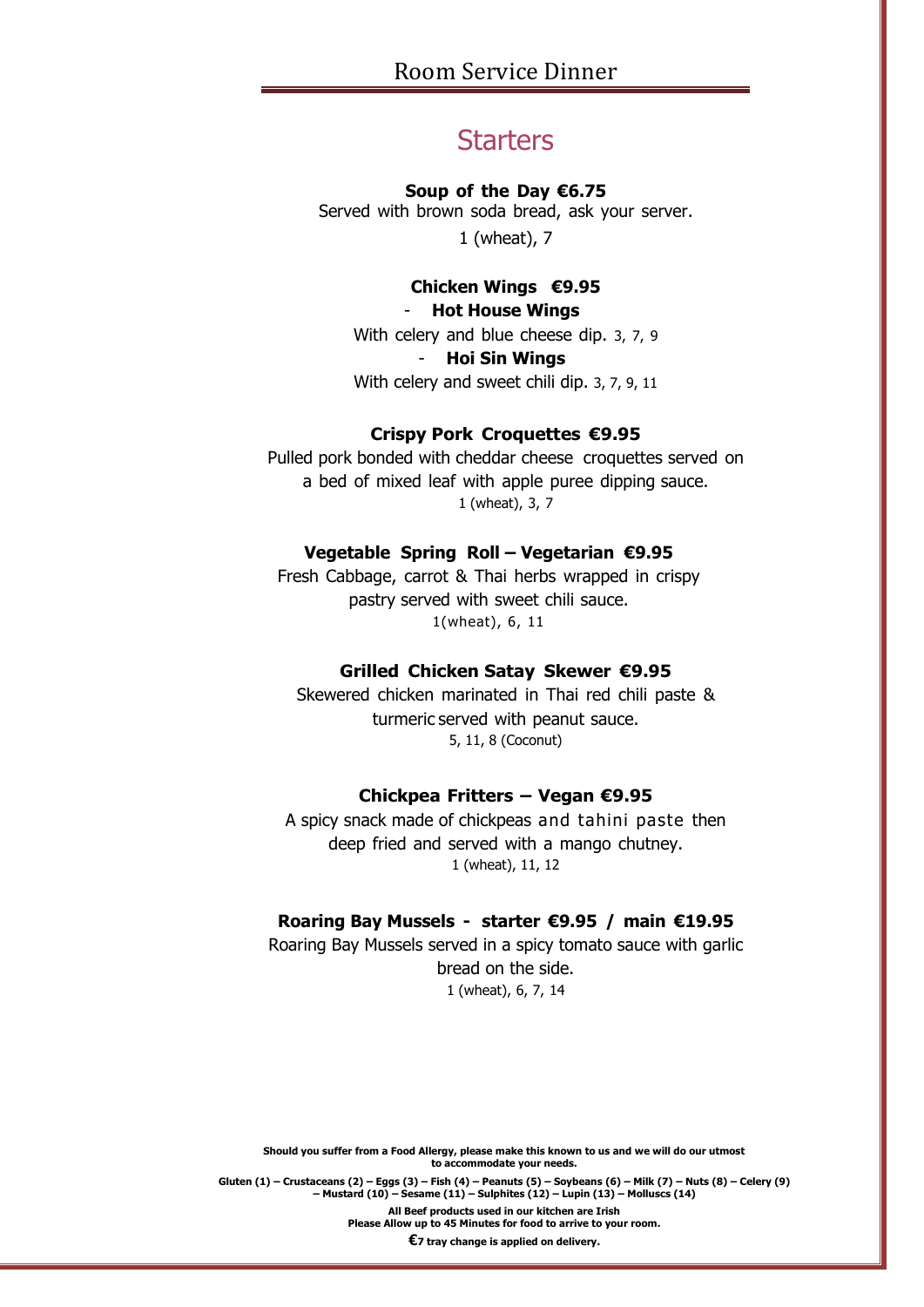# **Starters**

#### **Soup of the Day €6.75**

Served with brown soda bread, ask your server. 1 (wheat), 7

## **Chicken Wings €9.95**

# - **Hot House Wings**

With celery and blue cheese dip. 3, 7, 9 - **Hoi Sin Wings** With celery and sweet chili dip. 3, 7, 9, 11

## **Crispy Pork Croquettes €9.95**

Pulled pork bonded with cheddar cheese croquettes served on a bed of mixed leaf with apple puree dipping sauce. 1 (wheat), 3, 7

## **Vegetable Spring Roll – Vegetarian €9.95**

Fresh Cabbage, carrot & Thai herbs wrapped in crispy pastry served with sweet chili sauce. 1(wheat), 6, 11

## **Grilled Chicken Satay Skewer €9.95**

Skewered chicken marinated in Thai red chili paste & turmeric served with peanut sauce. 5, 11, 8 (Coconut)

## **Chickpea Fritters – Vegan €9.95**

A spicy snack made of chickpeas and tahini paste then deep fried and served with a mango chutney. 1 (wheat), 11, 12

## **Roaring Bay Mussels - starter €9.95 / main €19.95**

Roaring Bay Mussels served in a spicy tomato sauce with garlic bread on the side. 1 (wheat), 6, 7, 14

**Should you suffer from a Food Allergy, please make this known to us and we will do our utmost to accommodate your needs.**

Gluten (1) – Crustaceans (2) – Eqgs (3) – Fish (4) – Peanuts (5) – Soybeans (6) – Milk (7) – Nuts (8) – Celery (9) **– Mustard (10) – Sesame (11) – Sulphites (12) – Lupin (13) – Molluscs (14)**

**All Beef products used in our kitchen are Irish**

**Please Allow up to 45 Minutes for food to arrive to your room.**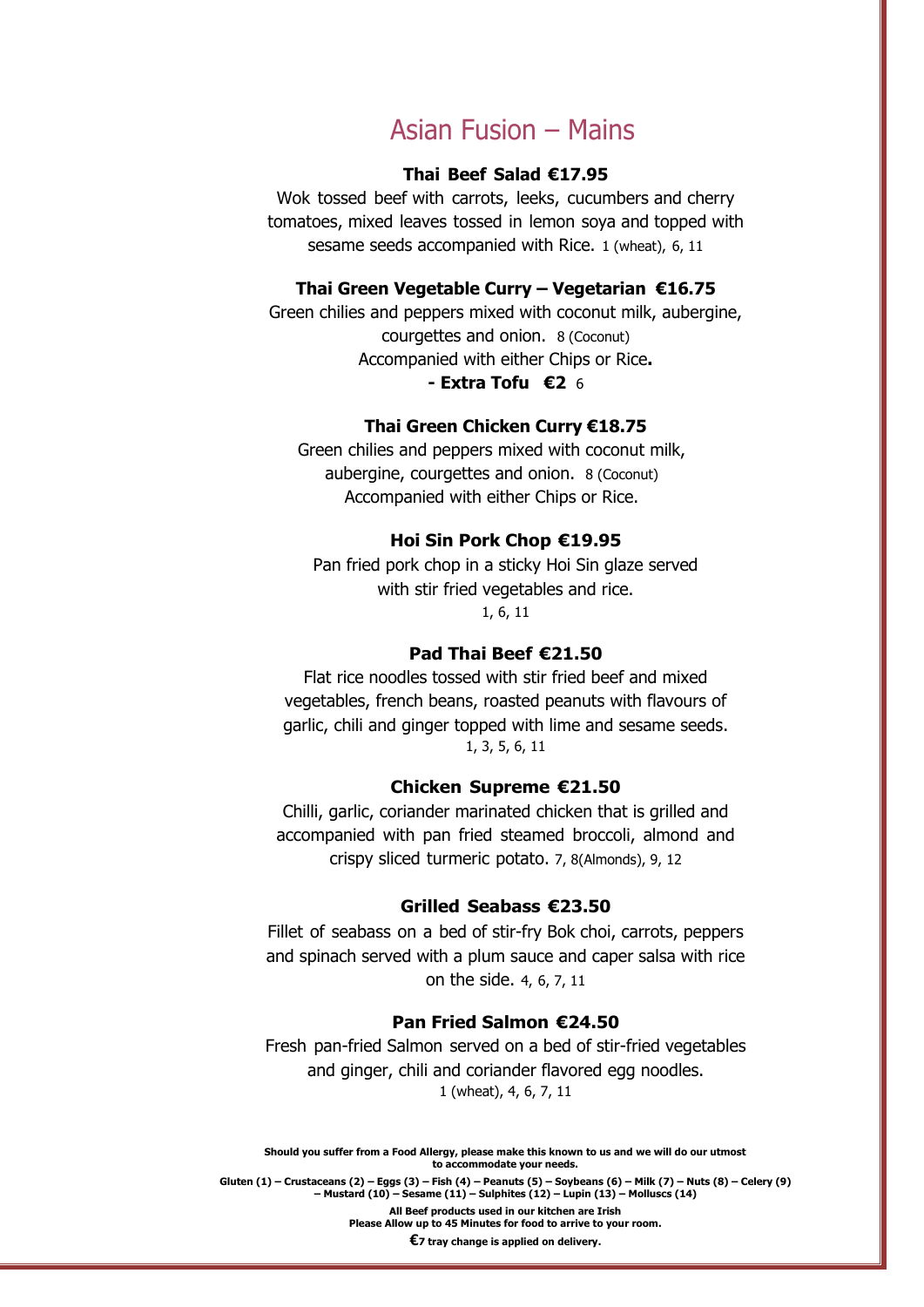# Asian Fusion – Mains

## **Thai Beef Salad €17.95**

Wok tossed beef with carrots, leeks, cucumbers and cherry tomatoes, mixed leaves tossed in lemon soya and topped with sesame seeds accompanied with Rice. 1 (wheat), 6, 11

## **Thai Green Vegetable Curry – Vegetarian €16.75**

Green chilies and peppers mixed with coconut milk, aubergine, courgettes and onion. 8 (Coconut) Accompanied with either Chips or Rice**. - Extra Tofu €2** 6

#### **Thai Green Chicken Curry €18.75**

Green chilies and peppers mixed with coconut milk, aubergine, courgettes and onion. 8 (Coconut) Accompanied with either Chips or Rice.

#### **Hoi Sin Pork Chop €19.95**

Pan fried pork chop in a sticky Hoi Sin glaze served with stir fried vegetables and rice. 1, 6, 11

#### **Pad Thai Beef €21.50**

Flat rice noodles tossed with stir fried beef and mixed vegetables, french beans, roasted peanuts with flavours of garlic, chili and ginger topped with lime and sesame seeds. 1, 3, 5, 6, 11

#### **Chicken Supreme €21.50**

Chilli, garlic, coriander marinated chicken that is grilled and accompanied with pan fried steamed broccoli, almond and crispy sliced turmeric potato. 7, 8(Almonds), 9, 12

#### **Grilled Seabass €23.50**

Fillet of seabass on a bed of stir-fry Bok choi, carrots, peppers and spinach served with a plum sauce and caper salsa with rice on the side. 4, 6, 7, 11

### **Pan Fried Salmon €24.50**

Fresh pan-fried Salmon served on a bed of stir-fried vegetables and ginger, chili and coriander flavored egg noodles. 1 (wheat), 4, 6, 7, 11

**Should you suffer from a Food Allergy, please make this known to us and we will do our utmost to accommodate your needs.**

Gluten (1) – Crustaceans (2) – Eggs (3) – Fish (4) – Peanuts (5) – Soybeans (6) – Milk (7) – Nuts (8) – Celery (9) **– Mustard (10) – Sesame (11) – Sulphites (12) – Lupin (13) – Molluscs (14)**

**All Beef products used in our kitchen are Irish**

**Please Allow up to 45 Minutes for food to arrive to your room.**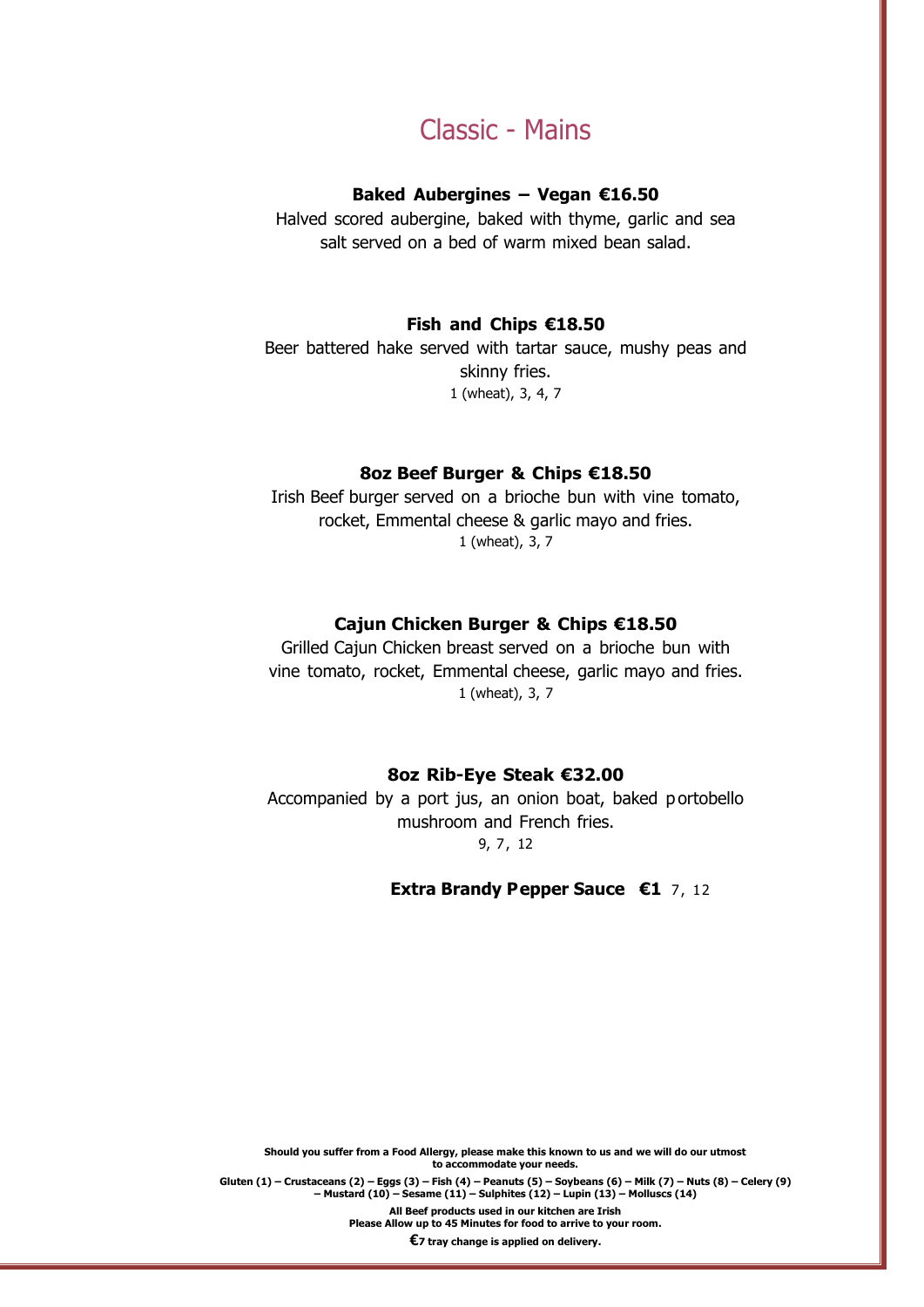# Classic - Mains

#### **Baked Aubergines – Vegan €16.50**

Halved scored aubergine, baked with thyme, garlic and sea salt served on a bed of warm mixed bean salad.

## **Fish and Chips €18.50**

Beer battered hake served with tartar sauce, mushy peas and skinny fries. 1 (wheat), 3, 4, 7

## **8oz Beef Burger & Chips €18.50**

Irish Beef burger served on a brioche bun with vine tomato, rocket, Emmental cheese & garlic mayo and fries. 1 (wheat), 3, 7

#### **Cajun Chicken Burger & Chips €18.50**

Grilled Cajun Chicken breast served on a brioche bun with vine tomato, rocket, Emmental cheese, garlic mayo and fries. 1 (wheat), 3, 7

#### **8oz Rib-Eye Steak €32.00**

Accompanied by a port jus, an onion boat, baked p ortobello mushroom and French fries. 9, 7, 12

#### **Extra Brandy Pepper Sauce €1** 7, 12

**Should you suffer from a Food Allergy, please make this known to us and we will do our utmost to accommodate your needs.**

Gluten (1) – Crustaceans (2) – Eqgs (3) – Fish (4) – Peanuts (5) – Soybeans (6) – Milk (7) – Nuts (8) – Celery (9) **– Mustard (10) – Sesame (11) – Sulphites (12) – Lupin (13) – Molluscs (14)**

**All Beef products used in our kitchen are Irish**

**Please Allow up to 45 Minutes for food to arrive to your room.**